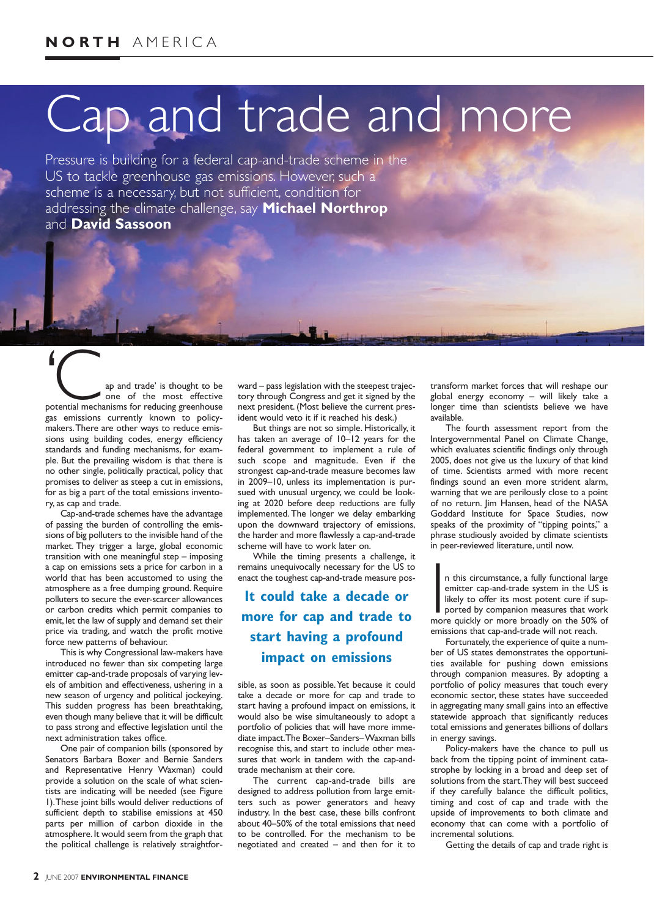## Cap and trade and more

Pressure is building for a federal cap-and-trade scheme in the US to tackle greenhouse gas emissions. However, such a scheme is a necessary, but not sufficient, condition for addressing the climate challenge, say **Michael Northrop** and **David Sassoon**

The Cap and trade' is thought to be<br>
one of the most effective<br>
potential mechanisms for reducing greenhouse one of the most effective gas emissions currently known to policymakers.There are other ways to reduce emissions using building codes, energy efficiency standards and funding mechanisms, for example. But the prevailing wisdom is that there is no other single, politically practical, policy that promises to deliver as steep a cut in emissions, for as big a part of the total emissions inventory, as cap and trade.

Cap-and-trade schemes have the advantage of passing the burden of controlling the emissions of big polluters to the invisible hand of the market. They trigger a large, global economic transition with one meaningful step – imposing a cap on emissions sets a price for carbon in a world that has been accustomed to using the atmosphere as a free dumping ground. Require polluters to secure the ever-scarcer allowances or carbon credits which permit companies to emit, let the law of supply and demand set their price via trading, and watch the profit motive force new patterns of behaviour.

This is why Congressional law-makers have introduced no fewer than six competing large emitter cap-and-trade proposals of varying levels of ambition and effectiveness, ushering in a new season of urgency and political jockeying. This sudden progress has been breathtaking, even though many believe that it will be difficult to pass strong and effective legislation until the next administration takes office.

One pair of companion bills (sponsored by Senators Barbara Boxer and Bernie Sanders and Representative Henry Waxman) could provide a solution on the scale of what scientists are indicating will be needed (see Figure 1).These joint bills would deliver reductions of sufficient depth to stabilise emissions at 450 parts per million of carbon dioxide in the atmosphere.It would seem from the graph that the political challenge is relatively straightforward – pass legislation with the steepest trajectory through Congress and get it signed by the next president. (Most believe the current president would veto it if it reached his desk.)

But things are not so simple. Historically, it has taken an average of 10–12 years for the federal government to implement a rule of such scope and magnitude. Even if the strongest cap-and-trade measure becomes law in 2009–10, unless its implementation is pursued with unusual urgency, we could be looking at 2020 before deep reductions are fully implemented. The longer we delay embarking upon the downward trajectory of emissions, the harder and more flawlessly a cap-and-trade scheme will have to work later on.

While the timing presents a challenge, it remains unequivocally necessary for the US to enact the toughest cap-and-trade measure pos-

## **It could take a decade or more for cap and trade to start having a profound impact on emissions**

sible, as soon as possible.Yet because it could take a decade or more for cap and trade to start having a profound impact on emissions, it would also be wise simultaneously to adopt a portfolio of policies that will have more immediate impact.The Boxer–Sanders– Waxman bills recognise this, and start to include other measures that work in tandem with the cap-andtrade mechanism at their core.

The current cap-and-trade bills are designed to address pollution from large emitters such as power generators and heavy industry. In the best case, these bills confront about 40–50% of the total emissions that need to be controlled. For the mechanism to be negotiated and created – and then for it to

transform market forces that will reshape our global energy economy – will likely take a longer time than scientists believe we have available.

The fourth assessment report from the Intergovernmental Panel on Climate Change, which evaluates scientific findings only through 2005, does not give us the luxury of that kind of time. Scientists armed with more recent findings sound an even more strident alarm, warning that we are perilously close to a point of no return. Jim Hansen, head of the NASA Goddard Institute for Space Studies, now speaks of the proximity of "tipping points," a phrase studiously avoided by climate scientists in peer-reviewed literature, until now.

In this circumstance, a fully functional large<br>
emitter cap-and-trade system in the US is<br>
likely to offer its most potent cure if sup-<br>
ported by companion measures that work<br>
more quickly or more broadly on the 50%<br>
of t n this circumstance, a fully functional large emitter cap-and-trade system in the US is likely to offer its most potent cure if supported by companion measures that work emissions that cap-and-trade will not reach.

Fortunately, the experience of quite a number of US states demonstrates the opportunities available for pushing down emissions through companion measures. By adopting a portfolio of policy measures that touch every economic sector, these states have succeeded in aggregating many small gains into an effective statewide approach that significantly reduces total emissions and generates billions of dollars in energy savings.

Policy-makers have the chance to pull us back from the tipping point of imminent catastrophe by locking in a broad and deep set of solutions from the start.They will best succeed if they carefully balance the difficult politics, timing and cost of cap and trade with the upside of improvements to both climate and economy that can come with a portfolio of incremental solutions.

Getting the details of cap and trade right is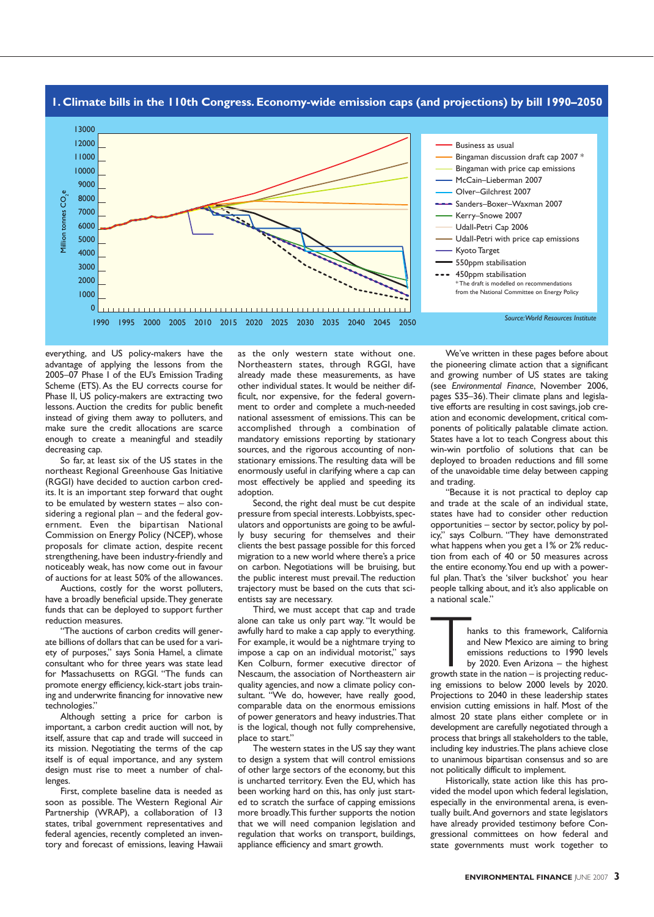

## **1. Climate bills in the 110th Congress. Economy-wide emission caps (and projections) by bill 1990–2050**

everything, and US policy-makers have the advantage of applying the lessons from the 2005–07 Phase I of the EU's Emission Trading Scheme (ETS). As the EU corrects course for Phase II, US policy-makers are extracting two lessons. Auction the credits for public benefit instead of giving them away to polluters, and make sure the credit allocations are scarce enough to create a meaningful and steadily decreasing cap.

So far, at least six of the US states in the northeast Regional Greenhouse Gas Initiative (RGGI) have decided to auction carbon credits. It is an important step forward that ought to be emulated by western states – also considering a regional plan – and the federal government. Even the bipartisan National Commission on Energy Policy (NCEP), whose proposals for climate action, despite recent strengthening, have been industry-friendly and noticeably weak, has now come out in favour of auctions for at least 50% of the allowances.

Auctions, costly for the worst polluters, have a broadly beneficial upside.They generate funds that can be deployed to support further reduction measures.

"The auctions of carbon credits will generate billions of dollars that can be used for a variety of purposes," says Sonia Hamel, a climate consultant who for three years was state lead for Massachusetts on RGGI. "The funds can promote energy efficiency, kick-start jobs training and underwrite financing for innovative new technologies."

Although setting a price for carbon is important, a carbon credit auction will not, by itself, assure that cap and trade will succeed in its mission. Negotiating the terms of the cap itself is of equal importance, and any system design must rise to meet a number of challenges.

First, complete baseline data is needed as soon as possible. The Western Regional Air Partnership (WRAP), a collaboration of 13 states, tribal government representatives and federal agencies, recently completed an inventory and forecast of emissions, leaving Hawaii as the only western state without one. Northeastern states, through RGGI, have already made these measurements, as have other individual states. It would be neither difficult, nor expensive, for the federal government to order and complete a much-needed national assessment of emissions. This can be accomplished through a combination of mandatory emissions reporting by stationary sources, and the rigorous accounting of nonstationary emissions.The resulting data will be enormously useful in clarifying where a cap can most effectively be applied and speeding its adoption.

Second, the right deal must be cut despite pressure from special interests. Lobbyists, speculators and opportunists are going to be awfully busy securing for themselves and their clients the best passage possible for this forced migration to a new world where there's a price on carbon. Negotiations will be bruising, but the public interest must prevail.The reduction trajectory must be based on the cuts that scientists say are necessary.

Third, we must accept that cap and trade alone can take us only part way. "It would be awfully hard to make a cap apply to everything. For example, it would be a nightmare trying to impose a cap on an individual motorist," says Ken Colburn, former executive director of Nescaum, the association of Northeastern air quality agencies, and now a climate policy consultant. "We do, however, have really good, comparable data on the enormous emissions of power generators and heavy industries.That is the logical, though not fully comprehensive, place to start."

The western states in the US say they want to design a system that will control emissions of other large sectors of the economy, but this is uncharted territory. Even the EU, which has been working hard on this, has only just started to scratch the surface of capping emissions more broadly.This further supports the notion that we will need companion legislation and regulation that works on transport, buildings, appliance efficiency and smart growth.

We've written in these pages before about the pioneering climate action that a significant and growing number of US states are taking (see *Environmental Finance*, November 2006, pages S35–36).Their climate plans and legislative efforts are resulting in cost savings, job creation and economic development, critical components of politically palatable climate action. States have a lot to teach Congress about this win-win portfolio of solutions that can be deployed to broaden reductions and fill some of the unavoidable time delay between capping and trading.

"Because it is not practical to deploy cap and trade at the scale of an individual state, states have had to consider other reduction opportunities – sector by sector, policy by policy," says Colburn. "They have demonstrated what happens when you get a 1% or 2% reduction from each of 40 or 50 measures across the entire economy.You end up with a powerful plan. That's the 'silver buckshot' you hear people talking about, and it's also applicable on a national scale."

hanks to this framework, California<br>
and New Mexico are aiming to bring<br>
emissions reductions to 1990 levels<br>
by 2020. Even Arizona – the highest<br>
growth state in the nation – is projecting reduc-<br>
income intervalsed by 20 and New Mexico are aiming to bring emissions reductions to 1990 levels by 2020. Even Arizona – the highest ing emissions to below 2000 levels by 2020. Projections to 2040 in these leadership states envision cutting emissions in half. Most of the almost 20 state plans either complete or in development are carefully negotiated through a process that brings all stakeholders to the table, including key industries.The plans achieve close to unanimous bipartisan consensus and so are not politically difficult to implement.

Historically, state action like this has provided the model upon which federal legislation, especially in the environmental arena, is eventually built.And governors and state legislators have already provided testimony before Congressional committees on how federal and state governments must work together to